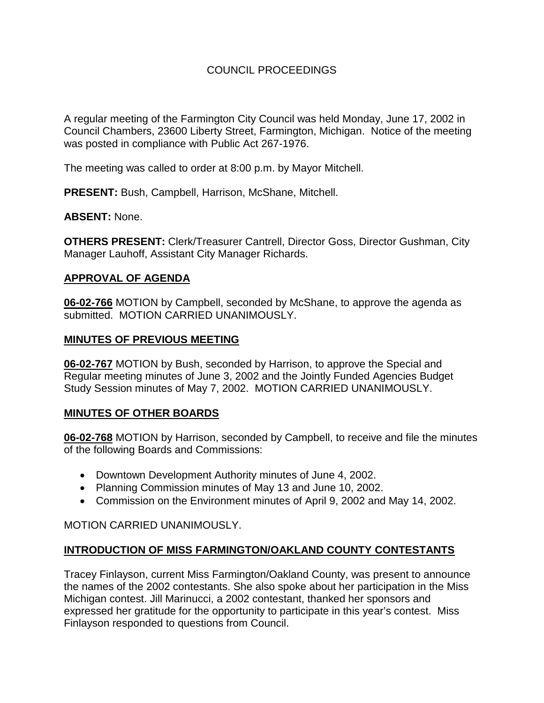# COUNCIL PROCEEDINGS

A regular meeting of the Farmington City Council was held Monday, June 17, 2002 in Council Chambers, 23600 Liberty Street, Farmington, Michigan. Notice of the meeting was posted in compliance with Public Act 267-1976.

The meeting was called to order at 8:00 p.m. by Mayor Mitchell.

**PRESENT:** Bush, Campbell, Harrison, McShane, Mitchell.

**ABSENT:** None.

**OTHERS PRESENT:** Clerk/Treasurer Cantrell, Director Goss, Director Gushman, City Manager Lauhoff, Assistant City Manager Richards.

#### **APPROVAL OF AGENDA**

**06-02-766** MOTION by Campbell, seconded by McShane, to approve the agenda as submitted. MOTION CARRIED UNANIMOUSLY.

#### **MINUTES OF PREVIOUS MEETING**

**06-02-767** MOTION by Bush, seconded by Harrison, to approve the Special and Regular meeting minutes of June 3, 2002 and the Jointly Funded Agencies Budget Study Session minutes of May 7, 2002. MOTION CARRIED UNANIMOUSLY.

## **MINUTES OF OTHER BOARDS**

**06-02-768** MOTION by Harrison, seconded by Campbell, to receive and file the minutes of the following Boards and Commissions:

- Downtown Development Authority minutes of June 4, 2002.
- Planning Commission minutes of May 13 and June 10, 2002.
- Commission on the Environment minutes of April 9, 2002 and May 14, 2002.

MOTION CARRIED UNANIMOUSLY.

## **INTRODUCTION OF MISS FARMINGTON/OAKLAND COUNTY CONTESTANTS**

Tracey Finlayson, current Miss Farmington/Oakland County, was present to announce the names of the 2002 contestants. She also spoke about her participation in the Miss Michigan contest. Jill Marinucci, a 2002 contestant, thanked her sponsors and expressed her gratitude for the opportunity to participate in this year's contest. Miss Finlayson responded to questions from Council.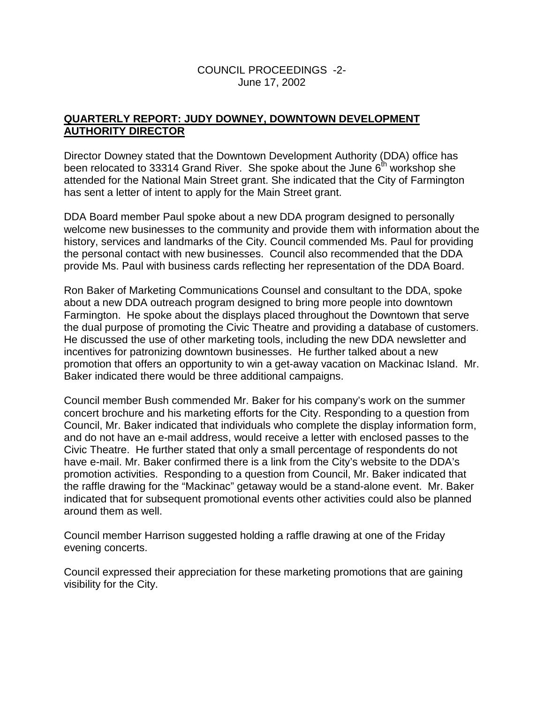## COUNCIL PROCEEDINGS -2- June 17, 2002

# **QUARTERLY REPORT: JUDY DOWNEY, DOWNTOWN DEVELOPMENT AUTHORITY DIRECTOR**

Director Downey stated that the Downtown Development Authority (DDA) office has been relocated to 33314 Grand River. She spoke about the June  $6<sup>th</sup>$  workshop she attended for the National Main Street grant. She indicated that the City of Farmington has sent a letter of intent to apply for the Main Street grant.

DDA Board member Paul spoke about a new DDA program designed to personally welcome new businesses to the community and provide them with information about the history, services and landmarks of the City. Council commended Ms. Paul for providing the personal contact with new businesses. Council also recommended that the DDA provide Ms. Paul with business cards reflecting her representation of the DDA Board.

Ron Baker of Marketing Communications Counsel and consultant to the DDA, spoke about a new DDA outreach program designed to bring more people into downtown Farmington. He spoke about the displays placed throughout the Downtown that serve the dual purpose of promoting the Civic Theatre and providing a database of customers. He discussed the use of other marketing tools, including the new DDA newsletter and incentives for patronizing downtown businesses. He further talked about a new promotion that offers an opportunity to win a get-away vacation on Mackinac Island. Mr. Baker indicated there would be three additional campaigns.

Council member Bush commended Mr. Baker for his company's work on the summer concert brochure and his marketing efforts for the City. Responding to a question from Council, Mr. Baker indicated that individuals who complete the display information form, and do not have an e-mail address, would receive a letter with enclosed passes to the Civic Theatre. He further stated that only a small percentage of respondents do not have e-mail. Mr. Baker confirmed there is a link from the City's website to the DDA's promotion activities. Responding to a question from Council, Mr. Baker indicated that the raffle drawing for the "Mackinac" getaway would be a stand-alone event. Mr. Baker indicated that for subsequent promotional events other activities could also be planned around them as well.

Council member Harrison suggested holding a raffle drawing at one of the Friday evening concerts.

Council expressed their appreciation for these marketing promotions that are gaining visibility for the City.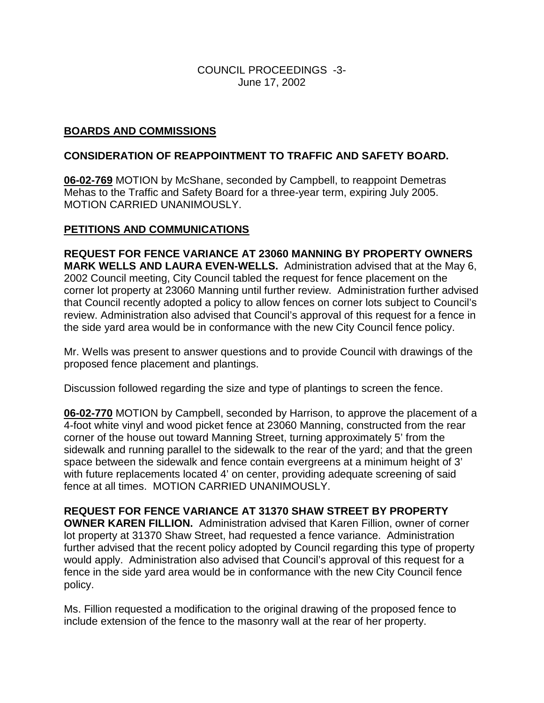## COUNCIL PROCEEDINGS -3- June 17, 2002

# **BOARDS AND COMMISSIONS**

## **CONSIDERATION OF REAPPOINTMENT TO TRAFFIC AND SAFETY BOARD.**

**06-02-769** MOTION by McShane, seconded by Campbell, to reappoint Demetras Mehas to the Traffic and Safety Board for a three-year term, expiring July 2005. MOTION CARRIED UNANIMOUSLY.

## **PETITIONS AND COMMUNICATIONS**

**REQUEST FOR FENCE VARIANCE AT 23060 MANNING BY PROPERTY OWNERS MARK WELLS AND LAURA EVEN-WELLS.** Administration advised that at the May 6, 2002 Council meeting, City Council tabled the request for fence placement on the corner lot property at 23060 Manning until further review. Administration further advised that Council recently adopted a policy to allow fences on corner lots subject to Council's review. Administration also advised that Council's approval of this request for a fence in the side yard area would be in conformance with the new City Council fence policy.

Mr. Wells was present to answer questions and to provide Council with drawings of the proposed fence placement and plantings.

Discussion followed regarding the size and type of plantings to screen the fence.

**06-02-770** MOTION by Campbell, seconded by Harrison, to approve the placement of a 4-foot white vinyl and wood picket fence at 23060 Manning, constructed from the rear corner of the house out toward Manning Street, turning approximately 5' from the sidewalk and running parallel to the sidewalk to the rear of the yard; and that the green space between the sidewalk and fence contain evergreens at a minimum height of 3' with future replacements located 4' on center, providing adequate screening of said fence at all times. MOTION CARRIED UNANIMOUSLY.

**REQUEST FOR FENCE VARIANCE AT 31370 SHAW STREET BY PROPERTY OWNER KAREN FILLION.** Administration advised that Karen Fillion, owner of corner lot property at 31370 Shaw Street, had requested a fence variance. Administration further advised that the recent policy adopted by Council regarding this type of property would apply. Administration also advised that Council's approval of this request for a fence in the side yard area would be in conformance with the new City Council fence policy.

Ms. Fillion requested a modification to the original drawing of the proposed fence to include extension of the fence to the masonry wall at the rear of her property.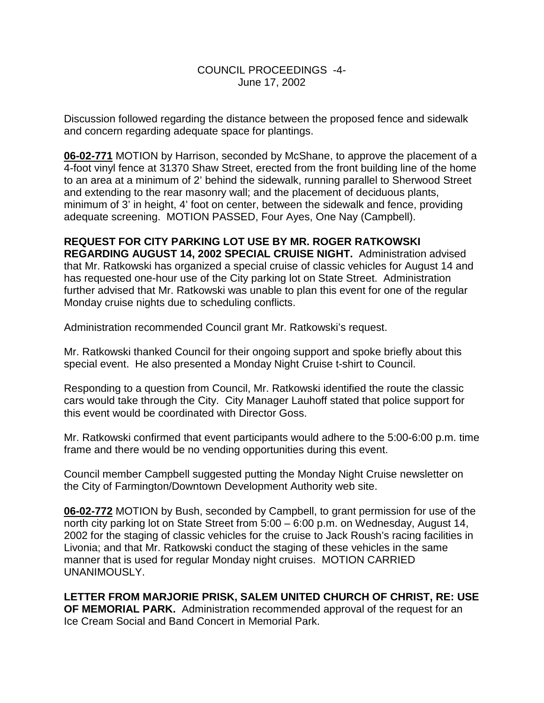## COUNCIL PROCEEDINGS -4- June 17, 2002

Discussion followed regarding the distance between the proposed fence and sidewalk and concern regarding adequate space for plantings.

**06-02-771** MOTION by Harrison, seconded by McShane, to approve the placement of a 4-foot vinyl fence at 31370 Shaw Street, erected from the front building line of the home to an area at a minimum of 2' behind the sidewalk, running parallel to Sherwood Street and extending to the rear masonry wall; and the placement of deciduous plants, minimum of 3' in height, 4' foot on center, between the sidewalk and fence, providing adequate screening. MOTION PASSED, Four Ayes, One Nay (Campbell).

# **REQUEST FOR CITY PARKING LOT USE BY MR. ROGER RATKOWSKI**

**REGARDING AUGUST 14, 2002 SPECIAL CRUISE NIGHT.** Administration advised that Mr. Ratkowski has organized a special cruise of classic vehicles for August 14 and has requested one-hour use of the City parking lot on State Street. Administration further advised that Mr. Ratkowski was unable to plan this event for one of the regular Monday cruise nights due to scheduling conflicts.

Administration recommended Council grant Mr. Ratkowski's request.

Mr. Ratkowski thanked Council for their ongoing support and spoke briefly about this special event. He also presented a Monday Night Cruise t-shirt to Council.

Responding to a question from Council, Mr. Ratkowski identified the route the classic cars would take through the City. City Manager Lauhoff stated that police support for this event would be coordinated with Director Goss.

Mr. Ratkowski confirmed that event participants would adhere to the 5:00-6:00 p.m. time frame and there would be no vending opportunities during this event.

Council member Campbell suggested putting the Monday Night Cruise newsletter on the City of Farmington/Downtown Development Authority web site.

**06-02-772** MOTION by Bush, seconded by Campbell, to grant permission for use of the north city parking lot on State Street from 5:00 – 6:00 p.m. on Wednesday, August 14, 2002 for the staging of classic vehicles for the cruise to Jack Roush's racing facilities in Livonia; and that Mr. Ratkowski conduct the staging of these vehicles in the same manner that is used for regular Monday night cruises. MOTION CARRIED UNANIMOUSLY.

**LETTER FROM MARJORIE PRISK, SALEM UNITED CHURCH OF CHRIST, RE: USE OF MEMORIAL PARK.** Administration recommended approval of the request for an Ice Cream Social and Band Concert in Memorial Park.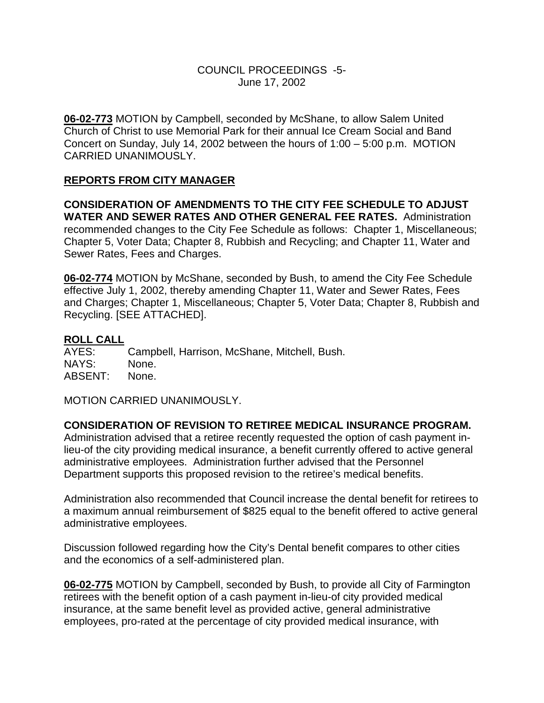## COUNCIL PROCEEDINGS -5- June 17, 2002

**06-02-773** MOTION by Campbell, seconded by McShane, to allow Salem United Church of Christ to use Memorial Park for their annual Ice Cream Social and Band Concert on Sunday, July 14, 2002 between the hours of 1:00 – 5:00 p.m. MOTION CARRIED UNANIMOUSLY.

## **REPORTS FROM CITY MANAGER**

**CONSIDERATION OF AMENDMENTS TO THE CITY FEE SCHEDULE TO ADJUST WATER AND SEWER RATES AND OTHER GENERAL FEE RATES.** Administration recommended changes to the City Fee Schedule as follows: Chapter 1, Miscellaneous; Chapter 5, Voter Data; Chapter 8, Rubbish and Recycling; and Chapter 11, Water and Sewer Rates, Fees and Charges.

**06-02-774** MOTION by McShane, seconded by Bush, to amend the City Fee Schedule effective July 1, 2002, thereby amending Chapter 11, Water and Sewer Rates, Fees and Charges; Chapter 1, Miscellaneous; Chapter 5, Voter Data; Chapter 8, Rubbish and Recycling. [SEE ATTACHED].

#### **ROLL CALL**

AYES: Campbell, Harrison, McShane, Mitchell, Bush. NAYS: None. ABSENT: None.

MOTION CARRIED UNANIMOUSLY.

#### **CONSIDERATION OF REVISION TO RETIREE MEDICAL INSURANCE PROGRAM.**

Administration advised that a retiree recently requested the option of cash payment inlieu-of the city providing medical insurance, a benefit currently offered to active general administrative employees. Administration further advised that the Personnel Department supports this proposed revision to the retiree's medical benefits.

Administration also recommended that Council increase the dental benefit for retirees to a maximum annual reimbursement of \$825 equal to the benefit offered to active general administrative employees.

Discussion followed regarding how the City's Dental benefit compares to other cities and the economics of a self-administered plan.

**06-02-775** MOTION by Campbell, seconded by Bush, to provide all City of Farmington retirees with the benefit option of a cash payment in-lieu-of city provided medical insurance, at the same benefit level as provided active, general administrative employees, pro-rated at the percentage of city provided medical insurance, with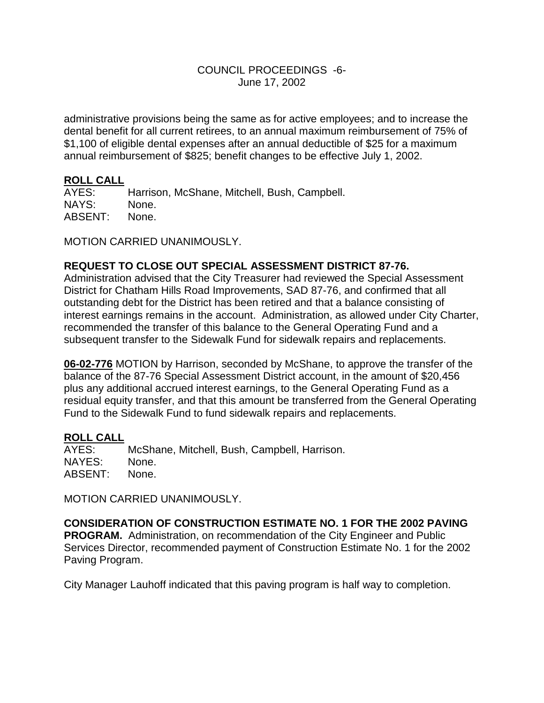## COUNCIL PROCEEDINGS -6- June 17, 2002

administrative provisions being the same as for active employees; and to increase the dental benefit for all current retirees, to an annual maximum reimbursement of 75% of \$1,100 of eligible dental expenses after an annual deductible of \$25 for a maximum annual reimbursement of \$825; benefit changes to be effective July 1, 2002.

#### **ROLL CALL**

AYES: Harrison, McShane, Mitchell, Bush, Campbell. NAYS: None. ABSENT: None.

MOTION CARRIED UNANIMOUSLY.

## **REQUEST TO CLOSE OUT SPECIAL ASSESSMENT DISTRICT 87-76.**

Administration advised that the City Treasurer had reviewed the Special Assessment District for Chatham Hills Road Improvements, SAD 87-76, and confirmed that all outstanding debt for the District has been retired and that a balance consisting of interest earnings remains in the account. Administration, as allowed under City Charter, recommended the transfer of this balance to the General Operating Fund and a subsequent transfer to the Sidewalk Fund for sidewalk repairs and replacements.

**06-02-776** MOTION by Harrison, seconded by McShane, to approve the transfer of the balance of the 87-76 Special Assessment District account, in the amount of \$20,456 plus any additional accrued interest earnings, to the General Operating Fund as a residual equity transfer, and that this amount be transferred from the General Operating Fund to the Sidewalk Fund to fund sidewalk repairs and replacements.

# **ROLL CALL**

McShane, Mitchell, Bush, Campbell, Harrison. NAYES: None. ABSENT: None.

MOTION CARRIED UNANIMOUSLY.

**CONSIDERATION OF CONSTRUCTION ESTIMATE NO. 1 FOR THE 2002 PAVING PROGRAM.** Administration, on recommendation of the City Engineer and Public Services Director, recommended payment of Construction Estimate No. 1 for the 2002 Paving Program.

City Manager Lauhoff indicated that this paving program is half way to completion.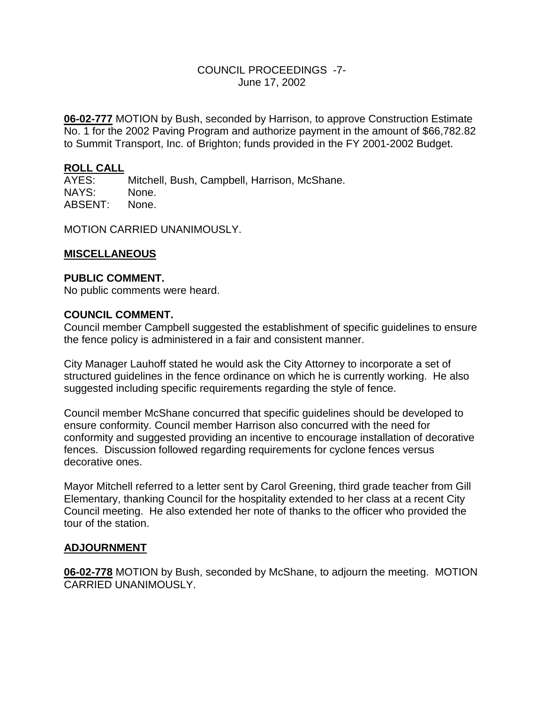## COUNCIL PROCEEDINGS -7- June 17, 2002

**06-02-777** MOTION by Bush, seconded by Harrison, to approve Construction Estimate No. 1 for the 2002 Paving Program and authorize payment in the amount of \$66,782.82 to Summit Transport, Inc. of Brighton; funds provided in the FY 2001-2002 Budget.

#### **ROLL CALL**

AYES: Mitchell, Bush, Campbell, Harrison, McShane. NAYS: None. ABSENT: None.

MOTION CARRIED UNANIMOUSLY.

#### **MISCELLANEOUS**

#### **PUBLIC COMMENT.**

No public comments were heard.

#### **COUNCIL COMMENT.**

Council member Campbell suggested the establishment of specific guidelines to ensure the fence policy is administered in a fair and consistent manner.

City Manager Lauhoff stated he would ask the City Attorney to incorporate a set of structured guidelines in the fence ordinance on which he is currently working. He also suggested including specific requirements regarding the style of fence.

Council member McShane concurred that specific guidelines should be developed to ensure conformity. Council member Harrison also concurred with the need for conformity and suggested providing an incentive to encourage installation of decorative fences. Discussion followed regarding requirements for cyclone fences versus decorative ones.

Mayor Mitchell referred to a letter sent by Carol Greening, third grade teacher from Gill Elementary, thanking Council for the hospitality extended to her class at a recent City Council meeting. He also extended her note of thanks to the officer who provided the tour of the station.

#### **ADJOURNMENT**

**06-02-778** MOTION by Bush, seconded by McShane, to adjourn the meeting. MOTION CARRIED UNANIMOUSLY.